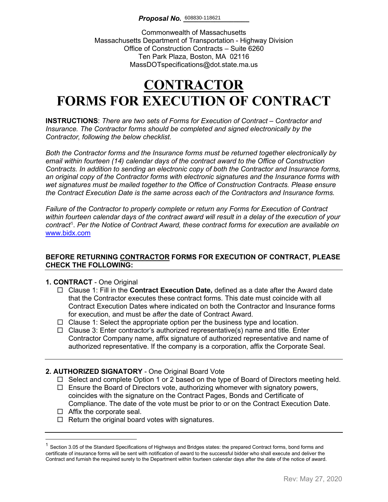Commonwealth of Massachusetts Massachusetts Department of Transportation - Highway Division Office of Construction Contracts – Suite 6260 Ten Park Plaza, Boston, MA 02116 MassDOTspecifications@dot.state.ma.us

# **CONTRACTOR FORMS FOR EXECUTION OF CONTRACT**

**INSTRUCTIONS**: *There are two sets of Forms for Execution of Contract – Contractor and Insurance. The Contractor forms should be completed and signed electronically by the Contractor, following the below checklist.* 

*Both the Contractor forms and the Insurance forms must be returned together electronically by email within fourteen (14) calendar days of the contract award to the Office of Construction Contracts. In addition to sending an electronic copy of both the Contractor and Insurance forms, an original copy of the Contractor forms with electronic signatures and the Insurance forms with wet signatures must be mailed together to the Office of Construction Contracts. Please ensure the Contract Execution Date is the same across each of the Contractors and Insurance forms.*

*Failure of the Contractor to properly complete or return any Forms for Execution of Contract within fourteen calendar days of the contract award will result in a delay of the execution of your contract*[1](#page-0-0) . *Per the Notice of Contract Award, these contract forms for execution are available on*  [www.bidx.com](http://www.bidx.com/)

#### **BEFORE RETURNING CONTRACTOR FORMS FOR EXECUTION OF CONTRACT, PLEASE CHECK THE FOLLOWING:**

#### **1. CONTRACT** - One Original

- Clause 1: Fill in the **Contract Execution Date,** defined as a date after the Award date that the Contractor executes these contract forms. This date must coincide with all Contract Execution Dates where indicated on both the Contractor and Insurance forms for execution, and must be *after* the date of Contract Award.
- $\Box$  Clause 1: Select the appropriate option per the business type and location.
- $\Box$  Clause 3: Enter contractor's authorized representative(s) name and title. Enter Contractor Company name, affix signature of authorized representative and name of authorized representative. If the company is a corporation, affix the Corporate Seal.

#### **2. AUTHORIZED SIGNATORY** - One Original Board Vote

- $\Box$  Select and complete Option 1 or 2 based on the type of Board of Directors meeting held.
- $\Box$  Ensure the Board of Directors vote, authorizing whomever with signatory powers, coincides with the signature on the Contract Pages, Bonds and Certificate of Compliance. The date of the vote must be prior to or on the Contract Execution Date.
- $\Box$  Affix the corporate seal.
- $\Box$  Return the original board votes with signatures.

<span id="page-0-0"></span> $1$  Section 3.05 of the Standard Specifications of Highways and Bridges states: the prepared Contract forms, bond forms and certificate of insurance forms will be sent with notification of award to the successful bidder who shall execute and deliver the Contract and furnish the required surety to the Department within fourteen calendar days after the date of the notice of award.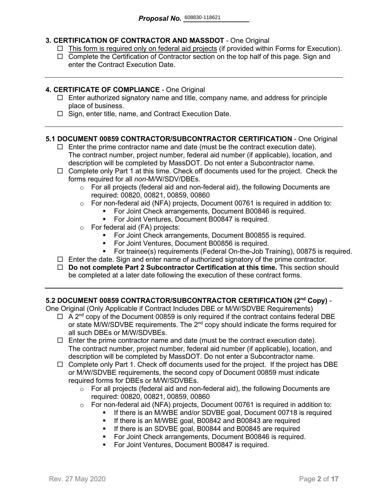### **3. CERTIFICATION OF CONTRACTOR AND MASSDOT** - One Original

- $\Box$  This form is required only on federal aid projects (if provided within Forms for Execution).
- $\Box$  Complete the Certification of Contractor section on the top half of this page. Sign and enter the Contract Execution Date.

#### **4. CERTIFICATE OF COMPLIANCE** - One Original

- $\Box$  Enter authorized signatory name and title, company name, and address for principle place of business.
- $\Box$  Sign, enter title, name, and Contract Execution Date.

#### **5.1 DOCUMENT 00859 CONTRACTOR/SUBCONTRACTOR CERTIFICATION** - One Original

- $\Box$  Enter the prime contractor name and date (must be the contract execution date). The contract number, project number, federal aid number (if applicable), location, and description will be completed by MassDOT. Do not enter a Subcontractor name.
- $\Box$  Complete only Part 1 at this time. Check off documents used for the project. Check the forms required for all *non-*M/W/SDV/DBEs.
	- $\circ$  For all projects (federal aid and non-federal aid), the following Documents are required: 00820, 00821, 00859, 00860
	- o For non-federal aid (NFA) projects, Document 00761 is required in addition to:
		- For Joint Check arrangements, Document B00846 is required.
		- **For Joint Ventures, Document B00847 is required.**
	- o For federal aid (FA) projects:
		- **For Joint Check arrangements, Document B00855 is required.**
		- For Joint Ventures, Document B00856 is required.
		- For trainee(s) requirements (Federal On-the-Job Training), 00875 is required.
- $\Box$  Enter the date. Sign and enter name of authorized signatory of the prime contractor.
- **Do not complete Part 2 Subcontractor Certification at this time.** This section should be completed at a later date following the execution of these contract forms.

#### **5.2 DOCUMENT 00859 CONTRACTOR/SUBCONTRACTOR CERTIFICATION (2nd Copy)** -

One Original (Only Applicable if Contract Includes DBE or M/W/SDVBE Requirements)

- $\Box$  A 2<sup>nd</sup> copy of the Document 00859 is only required if the contract contains federal DBE or state M/W/SDVBE requirements. The  $2^{nd}$  copy should indicate the forms required for all such DBEs or M/W/SDVBEs.
- $\Box$  Enter the prime contractor name and date (must be the contract execution date). The contract number, project number, federal aid number (if applicable), location, and description will be completed by MassDOT. Do not enter a Subcontractor name.
- $\Box$  Complete only Part 1. Check off documents used for the project. If the project has DBE or M/W/SDVBE requirements, the second copy of Document 00859 must indicate required forms for DBEs or M/W/SDVBEs.
	- $\circ$  For all projects (federal aid and non-federal aid), the following Documents are required: 00820, 00821, 00859, 00860
	- o For non-federal aid (NFA) projects, Document 00761 is required in addition to:
		- If there is an M/WBE and/or SDVBE goal, Document 00718 is required
			- **If there is an M/WBE goal, B00842 and B00843 are required**
		- **If there is an SDVBE goal, B00844 and B00845 are required**
		- **For Joint Check arrangements, Document B00846 is required.**
		- **For Joint Ventures, Document B00847 is required.**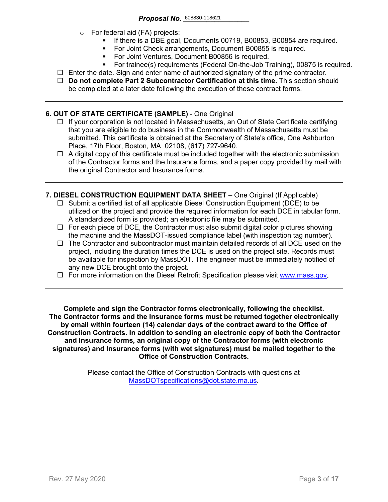- o For federal aid (FA) projects:
	- If there is a DBE goal, Documents 00719, B00853, B00854 are required.
	- For Joint Check arrangements, Document B00855 is required.
	- **For Joint Ventures, Document B00856 is required.**
	- For trainee(s) requirements (Federal On-the-Job Training), 00875 is required.
- $\Box$  Enter the date. Sign and enter name of authorized signatory of the prime contractor.
- **Do not complete Part 2 Subcontractor Certification at this time.** This section should be completed at a later date following the execution of these contract forms.

#### **6. OUT OF STATE CERTIFICATE (SAMPLE)** - One Original

- $\Box$  If your corporation is not located in Massachusetts, an Out of State Certificate certifying that you are eligible to do business in the Commonwealth of Massachusetts must be submitted. This certificate is obtained at the Secretary of State's office, One Ashburton Place, 17th Floor, Boston, MA 02108, (617) 727-9640.
- $\Box$  A digital copy of this certificate must be included together with the electronic submission of the Contractor forms and the Insurance forms, and a paper copy provided by mail with the original Contractor and Insurance forms.
- **7. DIESEL CONSTRUCTION EQUIPMENT DATA SHEET** One Original (If Applicable)
	- $\Box$  Submit a certified list of all applicable Diesel Construction Equipment (DCE) to be utilized on the project and provide the required information for each DCE in tabular form. A standardized form is provided; an electronic file may be submitted.
	- $\Box$  For each piece of DCE, the Contractor must also submit digital color pictures showing the machine and the MassDOT-issued compliance label (with inspection tag number).
	- $\Box$  The Contractor and subcontractor must maintain detailed records of all DCE used on the project, including the duration times the DCE is used on the project site. Records must be available for inspection by MassDOT. The engineer must be immediately notified of any new DCE brought onto the project.
	- $\Box$  For more information on the Diesel Retrofit Specification please visit [www.mass.gov.](https://www.mass.gov/service-details/massdot-diesel-retrofit-specification)

**Complete and sign the Contractor forms electronically, following the checklist. The Contractor forms and the Insurance forms must be returned together electronically by email within fourteen (14) calendar days of the contract award to the Office of Construction Contracts. In addition to sending an electronic copy of both the Contractor and Insurance forms, an original copy of the Contractor forms (with electronic signatures) and Insurance forms (with wet signatures) must be mailed together to the Office of Construction Contracts.**

> Please contact the Office of Construction Contracts with questions at [MassDOTspecifications@dot.state.ma.us.](mailto:MassDOTspecifications@dot.state.ma.us)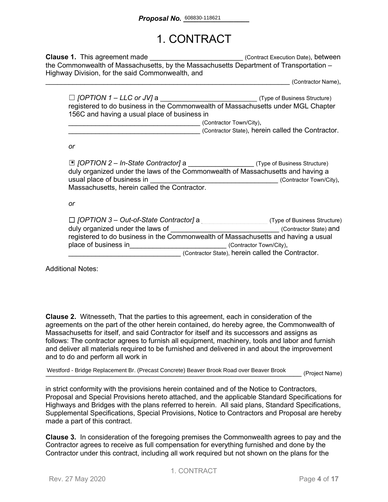## 1. CONTRACT

**Clause 1.** This agreement made **Clause 1.** This agreement made the Commonwealth of Massachusetts, by the Massachusetts Department of Transportation – Highway Division, for the said Commonwealth, and

\_\_\_\_\_\_\_\_\_\_\_\_\_\_\_\_\_\_\_\_\_\_\_\_\_\_\_\_\_\_\_\_\_\_\_\_\_\_\_\_\_\_\_\_\_\_\_\_\_\_\_\_\_\_\_\_\_\_\_\_\_\_\_ (Contractor Name),

| $\Box$ [OPTION 1 – LLC or JV] a              | (Type of Business Structure)                                                     |
|----------------------------------------------|----------------------------------------------------------------------------------|
|                                              | registered to do business in the Commonwealth of Massachusetts under MGL Chapter |
| 156C and having a usual place of business in |                                                                                  |
|                                              | (Contractor Town/City),                                                          |

\_\_\_\_\_\_\_\_\_\_\_\_\_\_\_\_\_\_\_\_\_\_\_\_\_\_\_\_\_\_\_\_\_\_ (Contractor State), herein called the Contractor.

*or*

| □ [OPTION 2 – In-State Contractor] a (Type of Business Structure)<br>duly organized under the laws of the Commonwealth of Massachusetts and having a |                                                   |
|------------------------------------------------------------------------------------------------------------------------------------------------------|---------------------------------------------------|
| usual place of business in                                                                                                                           | (Contractor Town/City),                           |
| Massachusetts, herein called the Contractor.                                                                                                         |                                                   |
|                                                                                                                                                      |                                                   |
| or                                                                                                                                                   |                                                   |
|                                                                                                                                                      |                                                   |
| $\Box$ [OPTION 3 – Out-of-State Contractor] a                                                                                                        | (Type of Business Structure)                      |
| duly organized under the laws of                                                                                                                     | (Contractor State) and                            |
| registered to do business in the Commonwealth of Massachusetts and having a usual                                                                    |                                                   |
| place of business in                                                                                                                                 | (Contractor Town/City),                           |
|                                                                                                                                                      | (Contractor State), herein called the Contractor. |

Additional Notes:

**Clause 2.** Witnesseth, That the parties to this agreement, each in consideration of the agreements on the part of the other herein contained, do hereby agree, the Commonwealth of Massachusetts for itself, and said Contractor for itself and its successors and assigns as follows: The contractor agrees to furnish all equipment, machinery, tools and labor and furnish and deliver all materials required to be furnished and delivered in and about the improvement and to do and perform all work in

Westford - Bridge Replacement Br. (Precast Concrete) Beaver Brook Road over Beaver Brook<br>- Project Name)

in strict conformity with the provisions herein contained and of the Notice to Contractors, Proposal and Special Provisions hereto attached, and the applicable Standard Specifications for Highways and Bridges with the plans referred to herein. All said plans, Standard Specifications, Supplemental Specifications, Special Provisions, Notice to Contractors and Proposal are hereby made a part of this contract.

**Clause 3.** In consideration of the foregoing premises the Commonwealth agrees to pay and the Contractor agrees to receive as full compensation for everything furnished and done by the Contractor under this contract, including all work required but not shown on the plans for the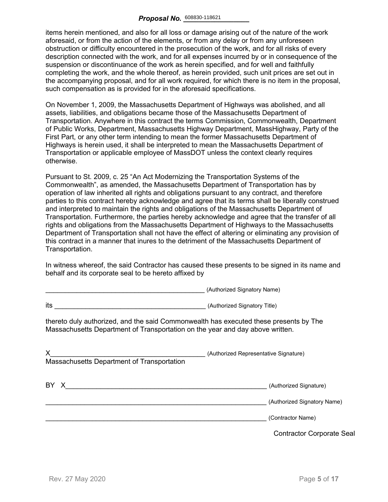items herein mentioned, and also for all loss or damage arising out of the nature of the work aforesaid, or from the action of the elements, or from any delay or from any unforeseen obstruction or difficulty encountered in the prosecution of the work, and for all risks of every description connected with the work, and for all expenses incurred by or in consequence of the suspension or discontinuance of the work as herein specified, and for well and faithfully completing the work, and the whole thereof, as herein provided, such unit prices are set out in the accompanying proposal, and for all work required, for which there is no item in the proposal, such compensation as is provided for in the aforesaid specifications.

On November 1, 2009, the Massachusetts Department of Highways was abolished, and all assets, liabilities, and obligations became those of the Massachusetts Department of Transportation. Anywhere in this contract the terms Commission, Commonwealth, Department of Public Works, Department, Massachusetts Highway Department, MassHighway, Party of the First Part, or any other term intending to mean the former Massachusetts Department of Highways is herein used, it shall be interpreted to mean the Massachusetts Department of Transportation or applicable employee of MassDOT unless the context clearly requires otherwise.

Pursuant to St. 2009, c. 25 "An Act Modernizing the Transportation Systems of the Commonwealth", as amended, the Massachusetts Department of Transportation has by operation of law inherited all rights and obligations pursuant to any contract, and therefore parties to this contract hereby acknowledge and agree that its terms shall be liberally construed and interpreted to maintain the rights and obligations of the Massachusetts Department of Transportation. Furthermore, the parties hereby acknowledge and agree that the transfer of all rights and obligations from the Massachusetts Department of Highways to the Massachusetts Department of Transportation shall not have the effect of altering or eliminating any provision of this contract in a manner that inures to the detriment of the Massachusetts Department of Transportation.

In witness whereof, the said Contractor has caused these presents to be signed in its name and behalf and its corporate seal to be hereto affixed by

\_\_\_\_\_\_\_\_\_\_\_\_\_\_\_\_\_\_\_\_\_\_\_\_\_\_\_\_\_\_\_\_\_\_\_\_\_\_\_\_\_ (Authorized Signatory Name)

|                                                                                                                                                                        | $\frac{1}{2}$                                         |
|------------------------------------------------------------------------------------------------------------------------------------------------------------------------|-------------------------------------------------------|
| its<br>(Authorized Signatory Title)                                                                                                                                    |                                                       |
| thereto duly authorized, and the said Commonwealth has executed these presents by The<br>Massachusetts Department of Transportation on the year and day above written. |                                                       |
| X.<br>Massachusetts Department of Transportation                                                                                                                       | (Authorized Representative Signature)                 |
| BY X                                                                                                                                                                   | (Authorized Signature)<br>(Authorized Signatory Name) |
|                                                                                                                                                                        | (Contractor Name)                                     |
|                                                                                                                                                                        | <b>Contractor Corporate Seal</b>                      |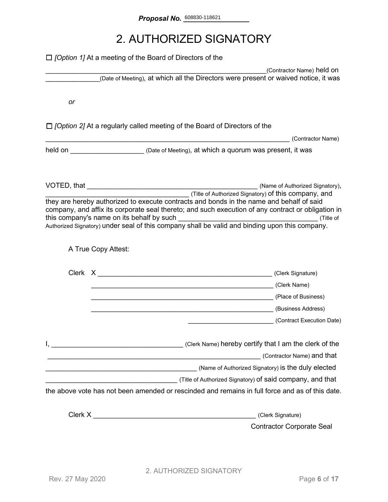## 2. AUTHORIZED SIGNATORY

|    | $\Box$ <i>[Option 1]</i> At a meeting of the Board of Directors of the                         |                                                                                                                  |
|----|------------------------------------------------------------------------------------------------|------------------------------------------------------------------------------------------------------------------|
|    |                                                                                                | (Contractor Name) held on<br>(Date of Meeting), at which all the Directors were present or waived notice, it was |
|    |                                                                                                |                                                                                                                  |
| or |                                                                                                |                                                                                                                  |
|    | $\Box$ /Option 2] At a regularly called meeting of the Board of Directors of the               |                                                                                                                  |
|    |                                                                                                | (Contractor Name)                                                                                                |
|    | held on <u>New Your Chate of Meeting</u> ), at which a quorum was present, it was              |                                                                                                                  |
|    |                                                                                                |                                                                                                                  |
|    |                                                                                                | (Title of Authorized Signatory) of this company, and                                                             |
|    | they are hereby authorized to execute contracts and bonds in the name and behalf of said       | company, and affix its corporate seal thereto; and such execution of any contract or obligation in               |
|    | Authorized Signatory) under seal of this company shall be valid and binding upon this company. |                                                                                                                  |
|    |                                                                                                |                                                                                                                  |
|    | A True Copy Attest:                                                                            |                                                                                                                  |
|    |                                                                                                |                                                                                                                  |
|    |                                                                                                |                                                                                                                  |
|    |                                                                                                | (Clerk Name) (Clerk Name)                                                                                        |
|    |                                                                                                |                                                                                                                  |
|    |                                                                                                |                                                                                                                  |
|    |                                                                                                | (Contract Execution Date)                                                                                        |
|    | Clerk Name) hereby certify that I am the clerk of the contract the clerk of the                |                                                                                                                  |
|    | <u> 1989 - Jan Samuel Barbara, margaret eta idazlea (h. 1989).</u>                             | (Contractor Name) and that                                                                                       |
|    |                                                                                                |                                                                                                                  |
|    |                                                                                                |                                                                                                                  |
|    |                                                                                                | the above vote has not been amended or rescinded and remains in full force and as of this date.                  |
|    | Clerk X <u>Alexander State Clerk X</u>                                                         | (Clerk Signature)                                                                                                |
|    |                                                                                                | <b>Contractor Corporate Seal</b>                                                                                 |
|    |                                                                                                |                                                                                                                  |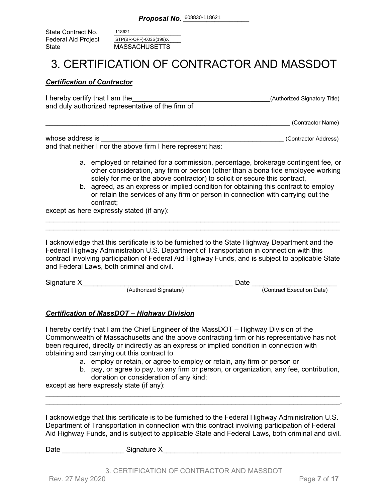State Contract No. Federal Aid Project<br>State **MASSACHUSETTS** 118621 STP(BR-OFF)-003S(198)X

### 3. CERTIFICATION OF CONTRACTOR AND MASSDOT

#### *Certification of Contractor*

| I hereby certify that I am the                    | (Authorized Signatory Title) |
|---------------------------------------------------|------------------------------|
| and duly authorized representative of the firm of |                              |
|                                                   |                              |

\_\_\_\_\_\_\_\_\_\_\_\_\_\_\_\_\_\_\_\_\_\_\_\_\_\_\_\_\_\_\_\_\_\_\_\_\_\_\_\_\_\_\_\_\_\_\_\_\_\_\_\_\_\_\_\_\_\_\_\_\_\_\_ (Contractor Name)

| whose address is                                            | (Contractor Address) |
|-------------------------------------------------------------|----------------------|
| and that neither I nor the above firm I here represent has: |                      |

- a. employed or retained for a commission, percentage, brokerage contingent fee, or other consideration, any firm or person (other than a bona fide employee working solely for me or the above contractor) to solicit or secure this contract,
- b. agreed, as an express or implied condition for obtaining this contract to employ or retain the services of any firm or person in connection with carrying out the contract;

except as here expressly stated (if any):

I acknowledge that this certificate is to be furnished to the State Highway Department and the Federal Highway Administration U.S. Department of Transportation in connection with this contract involving participation of Federal Aid Highway Funds, and is subject to applicable State and Federal Laws, both criminal and civil.

\_\_\_\_\_\_\_\_\_\_\_\_\_\_\_\_\_\_\_\_\_\_\_\_\_\_\_\_\_\_\_\_\_\_\_\_\_\_\_\_\_\_\_\_\_\_\_\_\_\_\_\_\_\_\_\_\_\_\_\_\_\_\_\_\_\_\_\_\_\_\_\_\_\_\_\_ \_\_\_\_\_\_\_\_\_\_\_\_\_\_\_\_\_\_\_\_\_\_\_\_\_\_\_\_\_\_\_\_\_\_\_\_\_\_\_\_\_\_\_\_\_\_\_\_\_\_\_\_\_\_\_\_\_\_\_\_\_\_\_\_\_\_\_\_\_\_\_\_\_\_\_\_

| Signature X |                        | )ate |                           |
|-------------|------------------------|------|---------------------------|
|             | (Authorized Signature) |      | (Contract Execution Date) |

### *Certification of MassDOT – Highway Division*

I hereby certify that I am the Chief Engineer of the MassDOT – Highway Division of the Commonwealth of Massachusetts and the above contracting firm or his representative has not been required, directly or indirectly as an express or implied condition in connection with obtaining and carrying out this contract to

- a. employ or retain, or agree to employ or retain, any firm or person or
- b. pay, or agree to pay, to any firm or person, or organization, any fee, contribution, donation or consideration of any kind;

except as here expressly state (if any):

I acknowledge that this certificate is to be furnished to the Federal Highway Administration U.S. Department of Transportation in connection with this contract involving participation of Federal Aid Highway Funds, and is subject to applicable State and Federal Laws, both criminal and civil.

\_\_\_\_\_\_\_\_\_\_\_\_\_\_\_\_\_\_\_\_\_\_\_\_\_\_\_\_\_\_\_\_\_\_\_\_\_\_\_\_\_\_\_\_\_\_\_\_\_\_\_\_\_\_\_\_\_\_\_\_\_\_\_\_\_\_\_\_\_\_\_\_\_\_\_\_ \_\_\_\_\_\_\_\_\_\_\_\_\_\_\_\_\_\_\_\_\_\_\_\_\_\_\_\_\_\_\_\_\_\_\_\_\_\_\_\_\_\_\_\_\_\_\_\_\_\_\_\_\_\_\_\_\_\_\_\_\_\_\_\_\_\_\_\_\_\_\_\_\_\_\_\_.

Date \_\_\_\_\_\_\_\_\_\_\_\_\_\_\_\_ Signature X\_\_\_\_\_\_\_\_\_\_\_\_\_\_\_\_\_\_\_\_\_\_\_\_\_\_\_\_\_\_\_\_\_\_\_\_\_\_\_\_\_\_\_\_\_\_

3. CERTIFICATION OF CONTRACTOR AND MASSDOT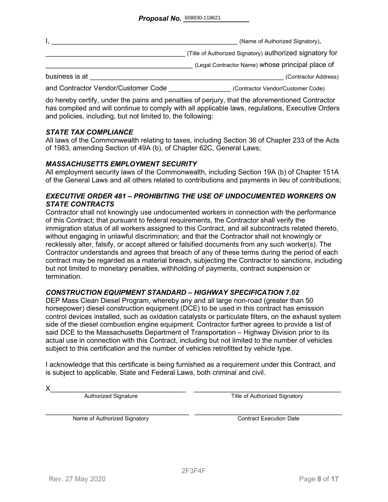|                                     | (Name of Authorized Signatory),                          |
|-------------------------------------|----------------------------------------------------------|
|                                     | (Title of Authorized Signatory) authorized signatory for |
|                                     | (Legal Contractor Name) whose principal place of         |
| business is at                      | (Contractor Address)                                     |
| and Contractor Vendor/Customer Code | (Contractor Vendor/Customer Code)                        |

do hereby certify, under the pains and penalties of perjury, that the aforementioned Contractor has complied and will continue to comply with all applicable laws, regulations, Executive Orders and policies, including, but not limited to, the following:

#### *STATE TAX COMPLIANCE*

All laws of the Commonwealth relating to taxes, including Section 36 of Chapter 233 of the Acts of 1983, amending Section of 49A (b), of Chapter 62C, General Laws;

#### *MASSACHUSETTS EMPLOYMENT SECURITY*

All employment security laws of the Commonwealth, including Section 19A (b) of Chapter 151A of the General Laws and all others related to contributions and payments in lieu of contributions;

#### *EXECUTIVE ORDER 481 – PROHIBITING THE USE OF UNDOCUMENTED WORKERS ON STATE CONTRACTS*

Contractor shall not knowingly use undocumented workers in connection with the performance of this Contract; that pursuant to federal requirements, the Contractor shall verify the immigration status of all workers assigned to this Contract, and all subcontracts related thereto, without engaging in unlawful discrimination; and that the Contractor shall not knowingly or recklessly alter, falsify, or accept altered or falsified documents from any such worker(s). The Contractor understands and agrees that breach of any of these terms during the period of each contract may be regarded as a material breach, subjecting the Contractor to sanctions, including but not limited to monetary penalties, withholding of payments, contract suspension or termination.

#### *CONSTRUCTION EQUIPMENT STANDARD – HIGHWAY SPECIFICATION 7.02*

DEP Mass Clean Diesel Program, whereby any and all large non-road (greater than 50 horsepower) diesel construction equipment (DCE) to be used in this contract has emission control devices installed, such as oxidation catalysts or particulate filters, on the exhaust system side of the diesel combustion engine equipment. Contractor further agrees to provide a list of said DCE to the Massachusetts Department of Transportation – Highway Division prior to its actual use in connection with this Contract, including but not limited to the number of vehicles subject to this certification and the number of vehicles retrofitted by vehicle type.

I acknowledge that this certificate is being furnished as a requirement under this Contract, and is subject to applicable, State and Federal Laws, both criminal and civil.

X\_\_\_\_\_\_\_\_\_\_\_\_\_\_\_\_\_\_\_\_\_\_\_\_\_\_\_\_\_\_\_\_\_\_\_ \_\_\_\_\_\_\_\_\_\_\_\_\_\_\_\_\_\_\_\_\_\_\_\_\_\_\_\_\_\_\_\_\_\_\_\_\_\_ Authorized Signature Title of Authorized Signatory

Name of Authorized Signatory **Execution Contract Execution Date**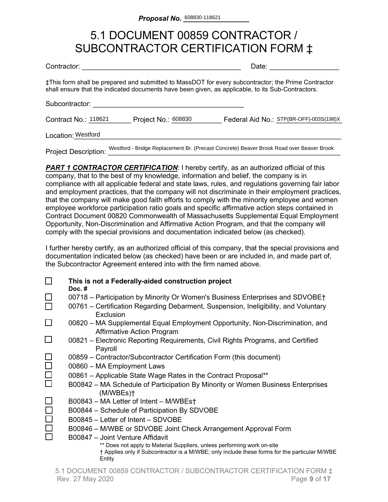### 5.1 DOCUMENT 00859 CONTRACTOR / SUBCONTRACTOR CERTIFICATION FORM ‡

| Contractor: |  |
|-------------|--|
|             |  |

Date:  $\Box$ 

‡This form shall be prepared and submitted to MassDOT for every subcontractor; the Prime Contractor shall ensure that the indicated documents have been given, as applicable, to its Sub-Contractors.

Subcontractor:

Contract No.: 118621 Project No.: 608830 Federal Aid No.: STP(BR-OFF)-003S(198)X

Location:\_\_\_\_\_\_\_\_\_\_\_\_\_\_\_\_\_\_\_\_\_\_\_\_\_\_\_\_\_\_\_\_\_\_\_\_\_\_\_\_\_\_\_\_\_\_\_\_\_\_\_\_\_\_\_\_\_\_\_\_\_\_\_\_\_\_\_\_\_ Westford

Project Description: Westford - Bridge Replacement Br. (Precast Concrete) Beaver Brook Road over Beaver Brook

**PART 1 CONTRACTOR CERTIFICATION:** I hereby certify, as an authorized official of this company, that to the best of my knowledge, information and belief, the company is in compliance with all applicable federal and state laws, rules, and regulations governing fair labor and employment practices, that the company will not discriminate in their employment practices, that the company will make good faith efforts to comply with the minority employee and women employee workforce participation ratio goals and specific affirmative action steps contained in Contract Document 00820 Commonwealth of Massachusetts Supplemental Equal Employment Opportunity, Non-Discrimination and Affirmative Action Program, and that the company will comply with the special provisions and documentation indicated below (as checked).

I further hereby certify, as an authorized official of this company, that the special provisions and documentation indicated below (as checked) have been or are included in, and made part of, the Subcontractor Agreement entered into with the firm named above.

|        | This is not a Federally-aided construction project<br>Doc. $#$                                                                                                                     |
|--------|------------------------------------------------------------------------------------------------------------------------------------------------------------------------------------|
|        | 00718 – Participation by Minority Or Women's Business Enterprises and SDVOBE†                                                                                                      |
|        | 00761 – Certification Regarding Debarment, Suspension, Ineligibility, and Voluntary<br>Exclusion                                                                                   |
|        | 00820 – MA Supplemental Equal Employment Opportunity, Non-Discrimination, and<br><b>Affirmative Action Program</b>                                                                 |
|        | 00821 – Electronic Reporting Requirements, Civil Rights Programs, and Certified<br>Payroll                                                                                         |
|        | 00859 - Contractor/Subcontractor Certification Form (this document)                                                                                                                |
| $\Box$ | 00860 - MA Employment Laws                                                                                                                                                         |
| $\Box$ | 00861 - Applicable State Wage Rates in the Contract Proposal**                                                                                                                     |
|        | B00842 – MA Schedule of Participation By Minority or Women Business Enterprises<br>(M/WBEs)                                                                                        |
|        | B00843 - MA Letter of Intent - M/WBEst                                                                                                                                             |
|        | B00844 – Schedule of Participation By SDVOBE                                                                                                                                       |
|        | B00845 - Letter of Intent - SDVOBE                                                                                                                                                 |
|        | B00846 – M/WBE or SDVOBE Joint Check Arrangement Approval Form                                                                                                                     |
|        | B00847 - Joint Venture Affidavit                                                                                                                                                   |
|        | ** Does not apply to Material Suppliers, unless performing work on-site<br>† Applies only if Subcontractor is a M/WBE; only include these forms for the particular M/WBE<br>Entity |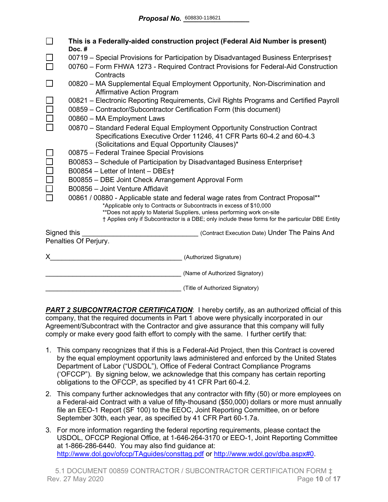|                                                                                       | This is a Federally-aided construction project (Federal Aid Number is present)<br>Doc.#                                                                                                                                                                                                                                               |
|---------------------------------------------------------------------------------------|---------------------------------------------------------------------------------------------------------------------------------------------------------------------------------------------------------------------------------------------------------------------------------------------------------------------------------------|
|                                                                                       | 00719 - Special Provisions for Participation by Disadvantaged Business Enterprises†                                                                                                                                                                                                                                                   |
|                                                                                       | 00760 - Form FHWA 1273 - Required Contract Provisions for Federal-Aid Construction<br>Contracts                                                                                                                                                                                                                                       |
|                                                                                       | 00820 - MA Supplemental Equal Employment Opportunity, Non-Discrimination and<br><b>Affirmative Action Program</b>                                                                                                                                                                                                                     |
|                                                                                       | 00821 – Electronic Reporting Requirements, Civil Rights Programs and Certified Payroll                                                                                                                                                                                                                                                |
|                                                                                       | 00859 - Contractor/Subcontractor Certification Form (this document)                                                                                                                                                                                                                                                                   |
|                                                                                       | 00860 - MA Employment Laws                                                                                                                                                                                                                                                                                                            |
|                                                                                       | 00870 - Standard Federal Equal Employment Opportunity Construction Contract<br>Specifications Executive Order 11246, 41 CFR Parts 60-4.2 and 60-4.3<br>(Solicitations and Equal Opportunity Clauses)*                                                                                                                                 |
|                                                                                       | 00875 - Federal Trainee Special Provisions                                                                                                                                                                                                                                                                                            |
|                                                                                       | B00853 - Schedule of Participation by Disadvantaged Business Enterprise†                                                                                                                                                                                                                                                              |
|                                                                                       | B00854 - Letter of Intent - DBEst                                                                                                                                                                                                                                                                                                     |
|                                                                                       | B00855 - DBE Joint Check Arrangement Approval Form                                                                                                                                                                                                                                                                                    |
|                                                                                       | B00856 - Joint Venture Affidavit                                                                                                                                                                                                                                                                                                      |
|                                                                                       | 00861 / 00880 - Applicable state and federal wage rates from Contract Proposal**<br>*Applicable only to Contracts or Subcontracts in excess of \$10,000<br>**Does not apply to Material Suppliers, unless performing work on-site<br>† Applies only if Subcontractor is a DBE; only include these forms for the particular DBE Entity |
| Signed this<br>(Contract Execution Date) Under The Pains And<br>Penalties Of Perjury. |                                                                                                                                                                                                                                                                                                                                       |
|                                                                                       |                                                                                                                                                                                                                                                                                                                                       |
| X.                                                                                    | (Authorized Signature)                                                                                                                                                                                                                                                                                                                |
|                                                                                       | (Name of Authorized Signatory)                                                                                                                                                                                                                                                                                                        |
|                                                                                       | (Title of Authorized Signatory)                                                                                                                                                                                                                                                                                                       |

**PART 2 SUBCONTRACTOR CERTIFICATION:** I hereby certify, as an authorized official of this company, that the required documents in Part 1 above were physically incorporated in our Agreement/Subcontract with the Contractor and give assurance that this company will fully comply or make every good faith effort to comply with the same. I further certify that:

- 1. This company recognizes that if this is a Federal-Aid Project, then this Contract is covered by the equal employment opportunity laws administered and enforced by the United States Department of Labor ("USDOL"), Office of Federal Contract Compliance Programs ('OFCCP"). By signing below, we acknowledge that this company has certain reporting obligations to the OFCCP, as specified by 41 CFR Part 60-4.2.
- 2. This company further acknowledges that any contractor with fifty (50) or more employees on a Federal-aid Contract with a value of fifty-thousand (\$50,000) dollars or more must annually file an EEO-1 Report (SF 100) to the EEOC, Joint Reporting Committee, on or before September 30th, each year, as specified by 41 CFR Part 60-1.7a.
- 3. For more information regarding the federal reporting requirements, please contact the USDOL, OFCCP Regional Office, at 1-646-264-3170 or EEO-1, Joint Reporting Committee at 1-866-286-6440. You may also find guidance at: <http://www.dol.gov/ofccp/TAguides/consttag.pdf> or [http://www.wdol.gov/dba.aspx#0.](http://www.wdol.gov/dba.aspx#0)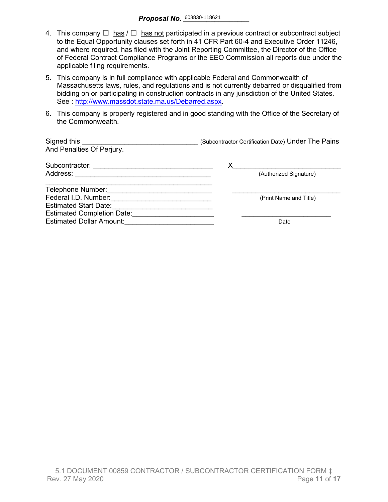- 4. This company  $\Box$  has  $\Box$  has not participated in a previous contract or subcontract subject to the Equal Opportunity clauses set forth in 41 CFR Part 60-4 and Executive Order 11246, and where required, has filed with the Joint Reporting Committee, the Director of the Office of Federal Contract Compliance Programs or the EEO Commission all reports due under the applicable filing requirements.
- 5. This company is in full compliance with applicable Federal and Commonwealth of Massachusetts laws, rules, and regulations and is not currently debarred or disqualified from bidding on or participating in construction contracts in any jurisdiction of the United States. See : http://www.massdot.state.ma.us/Debarred.aspx.
- 6. This company is properly registered and in good standing with the Office of the Secretary of the Commonwealth.

| Signed this<br>And Penalties Of Perjury. | (Subcontractor Certification Date) Under The Pains |
|------------------------------------------|----------------------------------------------------|
| Subcontractor:                           | Х                                                  |
| Address:                                 | (Authorized Signature)                             |
| Telephone Number:                        |                                                    |
| Federal I.D. Number:                     | (Print Name and Title)                             |
| <b>Estimated Start Date:</b>             |                                                    |
| <b>Estimated Completion Date:</b>        |                                                    |
| <b>Estimated Dollar Amount:</b>          | Date                                               |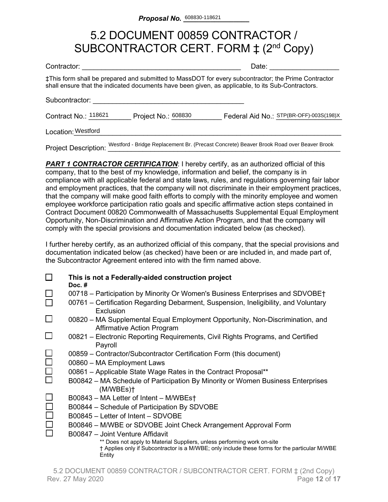## 5.2 DOCUMENT 00859 CONTRACTOR / SUBCONTRACTOR CERT. FORM  $\ddagger$  (2<sup>nd</sup> Copy)

| Contractor:                 |                     | Date:                                                                                                                                                                                                    |
|-----------------------------|---------------------|----------------------------------------------------------------------------------------------------------------------------------------------------------------------------------------------------------|
|                             |                     | ‡This form shall be prepared and submitted to MassDOT for every subcontractor; the Prime Contractor<br>shall ensure that the indicated documents have been given, as applicable, to its Sub-Contractors. |
| Subcontractor:              |                     |                                                                                                                                                                                                          |
| Contract No.: 118621        | Project No.: 608830 | Federal Aid No.: STP(BR-OFF)-003S(198)X                                                                                                                                                                  |
| Location: Westford          |                     |                                                                                                                                                                                                          |
| <b>Project Description:</b> |                     | Westford - Bridge Replacement Br. (Precast Concrete) Beaver Brook Road over Beaver Brook                                                                                                                 |

**PART 1 CONTRACTOR CERTIFICATION:** I hereby certify, as an authorized official of this company, that to the best of my knowledge, information and belief, the company is in compliance with all applicable federal and state laws, rules, and regulations governing fair labor and employment practices, that the company will not discriminate in their employment practices, that the company will make good faith efforts to comply with the minority employee and women employee workforce participation ratio goals and specific affirmative action steps contained in Contract Document 00820 Commonwealth of Massachusetts Supplemental Equal Employment Opportunity, Non-Discrimination and Affirmative Action Program, and that the company will comply with the special provisions and documentation indicated below (as checked).

I further hereby certify, as an authorized official of this company, that the special provisions and documentation indicated below (as checked) have been or are included in, and made part of, the Subcontractor Agreement entered into with the firm named above.

|        | This is not a Federally-aided construction project<br>Doc. $#$                                                                                                                     |
|--------|------------------------------------------------------------------------------------------------------------------------------------------------------------------------------------|
|        | 00718 – Participation by Minority Or Women's Business Enterprises and SDVOBE†                                                                                                      |
|        | 00761 – Certification Regarding Debarment, Suspension, Ineligibility, and Voluntary<br>Exclusion                                                                                   |
| ⊔      | 00820 – MA Supplemental Equal Employment Opportunity, Non-Discrimination, and<br>Affirmative Action Program                                                                        |
|        | 00821 – Electronic Reporting Requirements, Civil Rights Programs, and Certified<br>Payroll                                                                                         |
|        | 00859 – Contractor/Subcontractor Certification Form (this document)                                                                                                                |
| $\Box$ | 00860 - MA Employment Laws                                                                                                                                                         |
| $\Box$ | 00861 - Applicable State Wage Rates in the Contract Proposal**                                                                                                                     |
|        | B00842 – MA Schedule of Participation By Minority or Women Business Enterprises<br>(M/WBEs)                                                                                        |
|        | B00843 - MA Letter of Intent - M/WBEst                                                                                                                                             |
|        | B00844 - Schedule of Participation By SDVOBE                                                                                                                                       |
|        | B00845 - Letter of Intent - SDVOBE                                                                                                                                                 |
|        | B00846 – M/WBE or SDVOBE Joint Check Arrangement Approval Form                                                                                                                     |
|        | B00847 - Joint Venture Affidavit                                                                                                                                                   |
|        | ** Does not apply to Material Suppliers, unless performing work on-site<br>† Applies only if Subcontractor is a M/WBE; only include these forms for the particular M/WBE<br>Entity |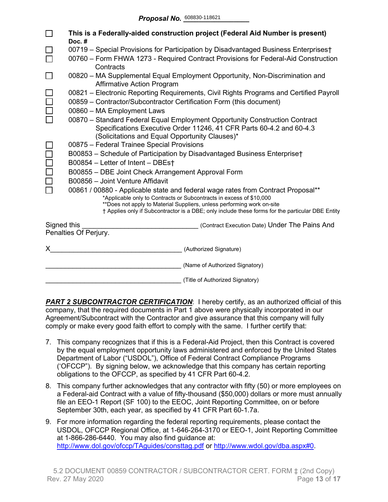|             | This is a Federally-aided construction project (Federal Aid Number is present)<br>Doc.#                                                                                                                                                                                                                                               |  |  |  |  |  |  |  |  |
|-------------|---------------------------------------------------------------------------------------------------------------------------------------------------------------------------------------------------------------------------------------------------------------------------------------------------------------------------------------|--|--|--|--|--|--|--|--|
|             | 00719 - Special Provisions for Participation by Disadvantaged Business Enterprises†                                                                                                                                                                                                                                                   |  |  |  |  |  |  |  |  |
|             | 00760 - Form FHWA 1273 - Required Contract Provisions for Federal-Aid Construction<br>Contracts                                                                                                                                                                                                                                       |  |  |  |  |  |  |  |  |
|             | 00820 - MA Supplemental Equal Employment Opportunity, Non-Discrimination and<br><b>Affirmative Action Program</b>                                                                                                                                                                                                                     |  |  |  |  |  |  |  |  |
|             | 00821 - Electronic Reporting Requirements, Civil Rights Programs and Certified Payroll<br>00859 - Contractor/Subcontractor Certification Form (this document)                                                                                                                                                                         |  |  |  |  |  |  |  |  |
|             | 00860 - MA Employment Laws                                                                                                                                                                                                                                                                                                            |  |  |  |  |  |  |  |  |
|             | 00870 - Standard Federal Equal Employment Opportunity Construction Contract<br>Specifications Executive Order 11246, 41 CFR Parts 60-4.2 and 60-4.3<br>(Solicitations and Equal Opportunity Clauses)*                                                                                                                                 |  |  |  |  |  |  |  |  |
|             | 00875 - Federal Trainee Special Provisions                                                                                                                                                                                                                                                                                            |  |  |  |  |  |  |  |  |
|             | B00853 - Schedule of Participation by Disadvantaged Business Enterprise†                                                                                                                                                                                                                                                              |  |  |  |  |  |  |  |  |
|             | B00854 - Letter of Intent - DBEs†                                                                                                                                                                                                                                                                                                     |  |  |  |  |  |  |  |  |
|             | B00855 - DBE Joint Check Arrangement Approval Form                                                                                                                                                                                                                                                                                    |  |  |  |  |  |  |  |  |
|             | B00856 - Joint Venture Affidavit                                                                                                                                                                                                                                                                                                      |  |  |  |  |  |  |  |  |
|             | 00861 / 00880 - Applicable state and federal wage rates from Contract Proposal**<br>*Applicable only to Contracts or Subcontracts in excess of \$10,000<br>**Does not apply to Material Suppliers, unless performing work on-site<br>† Applies only if Subcontractor is a DBE; only include these forms for the particular DBE Entity |  |  |  |  |  |  |  |  |
| Signed this | (Contract Execution Date) Under The Pains And                                                                                                                                                                                                                                                                                         |  |  |  |  |  |  |  |  |
|             | Penalties Of Perjury.                                                                                                                                                                                                                                                                                                                 |  |  |  |  |  |  |  |  |
|             | (Authorized Signature)                                                                                                                                                                                                                                                                                                                |  |  |  |  |  |  |  |  |
|             | (Name of Authorized Signatory)                                                                                                                                                                                                                                                                                                        |  |  |  |  |  |  |  |  |
|             | (Title of Authorized Signatory)                                                                                                                                                                                                                                                                                                       |  |  |  |  |  |  |  |  |

**PART 2 SUBCONTRACTOR CERTIFICATION:** I hereby certify, as an authorized official of this company, that the required documents in Part 1 above were physically incorporated in our Agreement/Subcontract with the Contractor and give assurance that this company will fully comply or make every good faith effort to comply with the same. I further certify that:

- 7. This company recognizes that if this is a Federal-Aid Project, then this Contract is covered by the equal employment opportunity laws administered and enforced by the United States Department of Labor ("USDOL"), Office of Federal Contract Compliance Programs ('OFCCP"). By signing below, we acknowledge that this company has certain reporting obligations to the OFCCP, as specified by 41 CFR Part 60-4.2.
- 8. This company further acknowledges that any contractor with fifty (50) or more employees on a Federal-aid Contract with a value of fifty-thousand (\$50,000) dollars or more must annually file an EEO-1 Report (SF 100) to the EEOC, Joint Reporting Committee, on or before September 30th, each year, as specified by 41 CFR Part 60-1.7a.
- 9. For more information regarding the federal reporting requirements, please contact the USDOL, OFCCP Regional Office, at 1-646-264-3170 or EEO-1, Joint Reporting Committee at 1-866-286-6440. You may also find guidance at: <http://www.dol.gov/ofccp/TAguides/consttag.pdf> or [http://www.wdol.gov/dba.aspx#0.](http://www.wdol.gov/dba.aspx#0)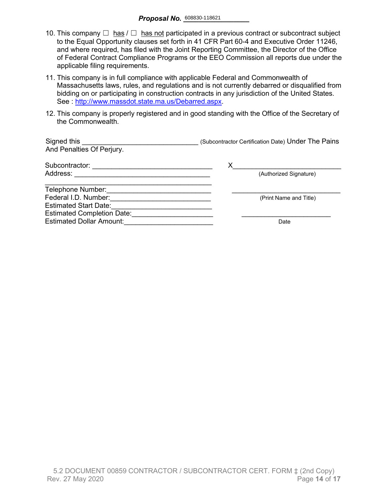- 10. This company  $\Box$  has  $\Box$  has not participated in a previous contract or subcontract subject to the Equal Opportunity clauses set forth in 41 CFR Part 60-4 and Executive Order 11246, and where required, has filed with the Joint Reporting Committee, the Director of the Office of Federal Contract Compliance Programs or the EEO Commission all reports due under the applicable filing requirements.
- 11. This company is in full compliance with applicable Federal and Commonwealth of Massachusetts laws, rules, and regulations and is not currently debarred or disqualified from bidding on or participating in construction contracts in any jurisdiction of the United States. See : [http://www.massdot.state.ma.us/Debarred.aspx.](http://www.massdot.state.ma.us/Debarred.aspx)
- 12. This company is properly registered and in good standing with the Office of the Secretary of the Commonwealth.

| Signed this<br>And Penalties Of Perjury. | (Subcontractor Certification Date) Under The Pains |
|------------------------------------------|----------------------------------------------------|
| Subcontractor:                           | х                                                  |
| Address:                                 | (Authorized Signature)                             |
| Telephone Number:                        |                                                    |
| Federal I.D. Number:                     | (Print Name and Title)                             |
| <b>Estimated Start Date:</b>             |                                                    |
| <b>Estimated Completion Date:</b>        |                                                    |
| <b>Estimated Dollar Amount:</b>          | Date                                               |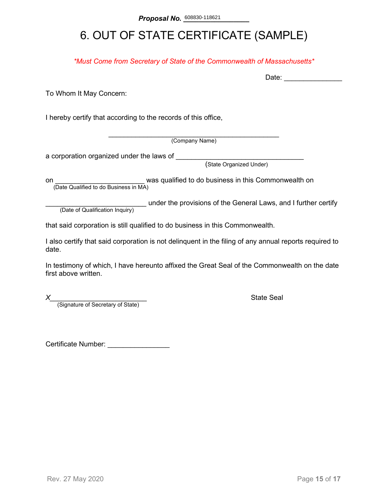# 6. OUT OF STATE CERTIFICATE (SAMPLE)

*\*Must Come from Secretary of State of the Commonwealth of Massachusetts\**

To Whom It May Concern:

I hereby certify that according to the records of this office,

\_\_\_\_\_\_\_\_\_\_\_\_\_\_\_\_\_\_\_\_\_\_\_\_\_\_\_\_\_\_\_\_\_\_\_\_\_\_\_\_\_\_\_\_ (Company Name)

a corporation organized under the laws of \_\_\_\_\_\_\_\_

(State Organized Under)

on **on Example 2** was qualified to do business in this Commonwealth on (Date Qualified to do Business in MA)

(Date of Qualification Inquiry) under the provisions of the General Laws, and I further certify (Date of Qualification Inquiry)

that said corporation is still qualified to do business in this Commonwealth.

I also certify that said corporation is not delinquent in the filing of any annual reports required to date.

In testimony of which, I have hereunto affixed the Great Seal of the Commonwealth on the date first above written.

*X*<br>(Signature of Secretary of State) **Alternative State Seal State Seal Alternative State** 

Certificate Number: \_\_\_\_\_\_\_\_\_\_\_\_\_\_\_\_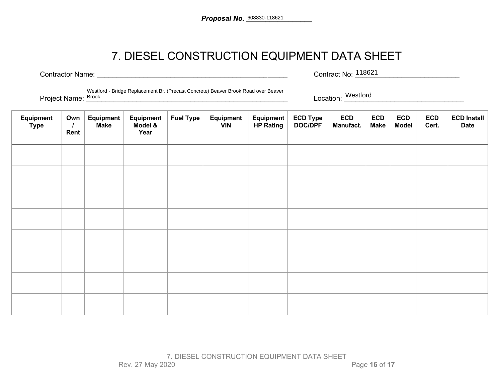## 7. DIESEL CONSTRUCTION EQUIPMENT DATA SHEET

Contractor Name: \_\_\_\_\_\_\_\_\_\_\_\_\_\_\_\_\_\_\_\_\_\_\_\_\_\_\_\_\_\_\_\_\_\_\_\_\_\_\_\_\_\_\_\_\_\_\_\_\_ Contract No: \_\_\_\_\_\_\_\_\_\_\_\_\_\_\_\_\_\_\_\_\_\_\_\_\_\_\_ Contract No: 118621

Project Name:  $\frac{\text{Frouder: } B}{\text{Brouk}}$  and  $\frac{\text{Frouder: } B}{\text{Brouk}}$  is the consister server server server server server server server server server server server server server server server server server server server server ser Westford - Bridge Replacement Br. (Precast Concrete) Beaver Brook Road over Beaver Project Name: Brook

| Equipment<br><b>Type</b> | Own<br>$\prime$<br>Rent | <b>Equipment</b><br><b>Make</b> | Equipment<br>Model &<br>Year | <b>Fuel Type</b> | Equipment<br><b>VIN</b> | Equipment<br><b>HP Rating</b> | ECD Type<br>DOC/DPF | <b>ECD</b><br>Manufact. | <b>ECD</b><br><b>Make</b> | <b>ECD</b><br><b>Model</b> | <b>ECD</b><br>Cert. | <b>ECD Install</b><br><b>Date</b> |
|--------------------------|-------------------------|---------------------------------|------------------------------|------------------|-------------------------|-------------------------------|---------------------|-------------------------|---------------------------|----------------------------|---------------------|-----------------------------------|
|                          |                         |                                 |                              |                  |                         |                               |                     |                         |                           |                            |                     |                                   |
|                          |                         |                                 |                              |                  |                         |                               |                     |                         |                           |                            |                     |                                   |
|                          |                         |                                 |                              |                  |                         |                               |                     |                         |                           |                            |                     |                                   |
|                          |                         |                                 |                              |                  |                         |                               |                     |                         |                           |                            |                     |                                   |
|                          |                         |                                 |                              |                  |                         |                               |                     |                         |                           |                            |                     |                                   |
|                          |                         |                                 |                              |                  |                         |                               |                     |                         |                           |                            |                     |                                   |
|                          |                         |                                 |                              |                  |                         |                               |                     |                         |                           |                            |                     |                                   |
|                          |                         |                                 |                              |                  |                         |                               |                     |                         |                           |                            |                     |                                   |